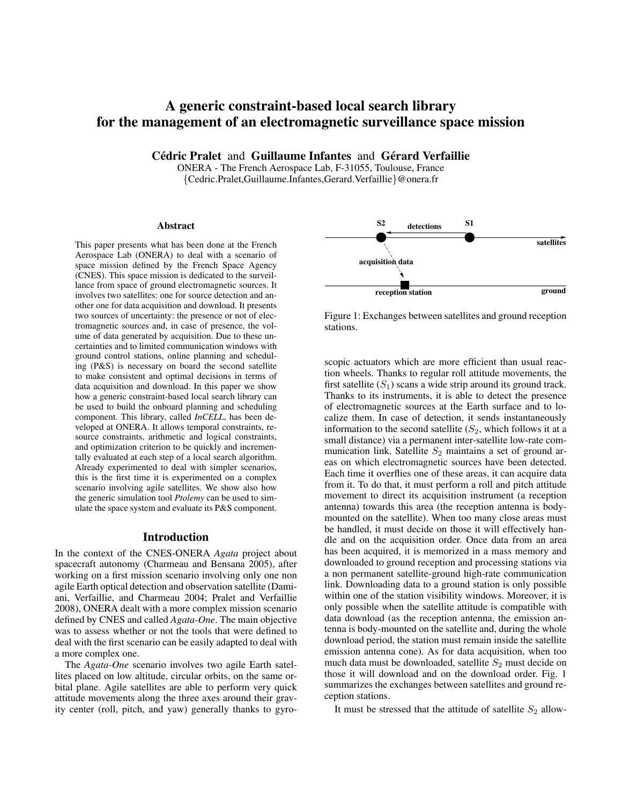# A generic constraint-based local search library for the management of an electromagnetic surveillance space mission

Cédric Pralet and Guillaume Infantes and Gérard Verfaillie

ONERA - The French Aerospace Lab, F-31055, Toulouse, France {Cedric.Pralet,Guillaume.Infantes,Gerard.Verfaillie}@onera.fr

#### Abstract

This paper presents what has been done at the French Aerospace Lab (ONERA) to deal with a scenario of space mission defined by the French Space Agency (CNES). This space mission is dedicated to the surveillance from space of ground electromagnetic sources. It involves two satellites: one for source detection and another one for data acquisition and download. It presents two sources of uncertainty: the presence or not of electromagnetic sources and, in case of presence, the volume of data generated by acquisition. Due to these uncertainties and to limited communication windows with ground control stations, online planning and scheduling (P&S) is necessary on board the second satellite to make consistent and optimal decisions in terms of data acquisition and download. In this paper we show how a generic constraint-based local search library can be used to build the onboard planning and scheduling component. This library, called *InCELL*, has been developed at ONERA. It allows temporal constraints, resource constraints, arithmetic and logical constraints, and optimization criterion to be quickly and incrementally evaluated at each step of a local search algorithm. Already experimented to deal with simpler scenarios, this is the first time it is experimented on a complex scenario involving agile satellites. We show also how the generic simulation tool *Ptolemy* can be used to simulate the space system and evaluate its P&S component.

#### Introduction

In the context of the CNES-ONERA *Agata* project about spacecraft autonomy (Charmeau and Bensana 2005), after working on a first mission scenario involving only one non agile Earth optical detection and observation satellite (Damiani, Verfaillie, and Charmeau 2004; Pralet and Verfaillie 2008), ONERA dealt with a more complex mission scenario defined by CNES and called *Agata-One*. The main objective was to assess whether or not the tools that were defined to deal with the first scenario can be easily adapted to deal with a more complex one.

The *Agata-One* scenario involves two agile Earth satellites placed on low altitude, circular orbits, on the same orbital plane. Agile satellites are able to perform very quick attitude movements along the three axes around their grav-



Figure 1: Exchanges between satellites and ground reception stations.

This paper presents only that been determined by consistent and the specifical piece of the syromatom (roll, pitch, and consistent in the level of the consistent of the consistent of the consistent of the syromatom (roll scopic actuators which are more efficient than usual reaction wheels. Thanks to regular roll attitude movements, the first satellite  $(S_1)$  scans a wide strip around its ground track. Thanks to its instruments, it is able to detect the presence of electromagnetic sources at the Earth surface and to localize them. In case of detection, it sends instantaneously information to the second satellite  $(S_2,$  which follows it at a small distance) via a permanent inter-satellite low-rate communication link. Satellite  $S_2$  maintains a set of ground areas on which electromagnetic sources have been detected. Each time it overflies one of these areas, it can acquire data from it. To do that, it must perform a roll and pitch attitude movement to direct its acquisition instrument (a reception antenna) towards this area (the reception antenna is bodymounted on the satellite). When too many close areas must be handled, it must decide on those it will effectively handle and on the acquisition order. Once data from an area has been acquired, it is memorized in a mass memory and downloaded to ground reception and processing stations via a non permanent satellite-ground high-rate communication link. Downloading data to a ground station is only possible within one of the station visibility windows. Moreover, it is only possible when the satellite attitude is compatible with data download (as the reception antenna, the emission antenna is body-mounted on the satellite and, during the whole download period, the station must remain inside the satellite emission antenna cone). As for data acquisition, when too much data must be downloaded, satellite  $S_2$  must decide on those it will download and on the download order. Fig. 1 summarizes the exchanges between satellites and ground reception stations.

It must be stressed that the attitude of satellite  $S_2$  allow-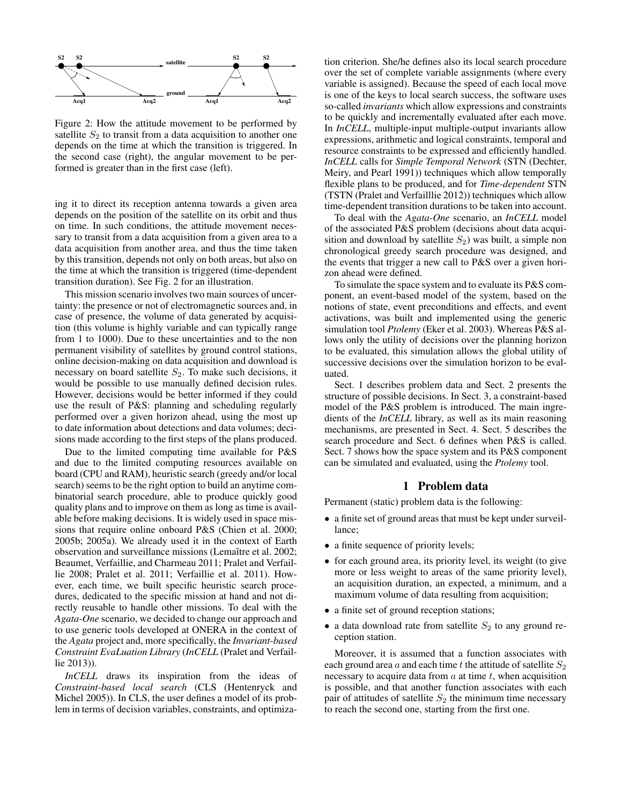

Figure 2: How the attitude movement to be performed by satellite  $S_2$  to transit from a data acquisition to another one depends on the time at which the transition is triggered. In the second case (right), the angular movement to be performed is greater than in the first case (left).

ing it to direct its reception antenna towards a given area depends on the position of the satellite on its orbit and thus on time. In such conditions, the attitude movement necessary to transit from a data acquisition from a given area to a data acquisition from another area, and thus the time taken by this transition, depends not only on both areas, but also on the time at which the transition is triggered (time-dependent transition duration). See Fig. 2 for an illustration.

This mission scenario involves two main sources of uncertainty: the presence or not of electromagnetic sources and, in case of presence, the volume of data generated by acquisition (this volume is highly variable and can typically range from 1 to 1000). Due to these uncertainties and to the non permanent visibility of satellites by ground control stations, online decision-making on data acquisition and download is necessary on board satellite  $S_2$ . To make such decisions, it would be possible to use manually defined decision rules. However, decisions would be better informed if they could use the result of P&S: planning and scheduling regularly performed over a given horizon ahead, using the most up to date information about detections and data volumes; decisions made according to the first steps of the plans produced.

Due to the limited computing time available for P&S and due to the limited computing resources available on board (CPU and RAM), heuristic search (greedy and/or local search) seems to be the right option to build an anytime combinatorial search procedure, able to produce quickly good quality plans and to improve on them as long as time is available before making decisions. It is widely used in space missions that require online onboard P&S (Chien et al. 2000; 2005b; 2005a). We already used it in the context of Earth observation and surveillance missions (Lemaître et al. 2002; Beaumet, Verfaillie, and Charmeau 2011; Pralet and Verfaillie 2008; Pralet et al. 2011; Verfaillie et al. 2011). However, each time, we built specific heuristic search procedures, dedicated to the specific mission at hand and not directly reusable to handle other missions. To deal with the *Agata-One* scenario, we decided to change our approach and to use generic tools developed at ONERA in the context of the *Agata* project and, more specifically, the *Invariant-based Constraint EvaLuation Library* (*InCELL* (Pralet and Verfaillie 2013)).

*InCELL* draws its inspiration from the ideas of *Constraint-based local search* (CLS (Hentenryck and Michel 2005)). In CLS, the user defines a model of its problem in terms of decision variables, constraints, and optimiza-

tion criterion. She/he defines also its local search procedure over the set of complete variable assignments (where every variable is assigned). Because the speed of each local move is one of the keys to local search success, the software uses so-called *invariants* which allow expressions and constraints to be quickly and incrementally evaluated after each move. In *InCELL*, multiple-input multiple-output invariants allow expressions, arithmetic and logical constraints, temporal and resource constraints to be expressed and efficiently handled. *InCELL* calls for *Simple Temporal Network* (STN (Dechter, Meiry, and Pearl 1991)) techniques which allow temporally flexible plans to be produced, and for *Time-dependent* STN (TSTN (Pralet and Verfailllie 2012)) techniques which allow time-dependent transition durations to be taken into account.

To deal with the *Agata-One* scenario, an *InCELL* model of the associated P&S problem (decisions about data acquisition and download by satellite  $S_2$ ) was built, a simple non chronological greedy search procedure was designed, and the events that trigger a new call to P&S over a given horizon ahead were defined.

To simulate the space system and to evaluate its P&S component, an event-based model of the system, based on the notions of state, event preconditions and effects, and event activations, was built and implemented using the generic simulation tool *Ptolemy* (Eker et al. 2003). Whereas P&S allows only the utility of decisions over the planning horizon to be evaluated, this simulation allows the global utility of successive decisions over the simulation horizon to be evaluated.

Sect. 1 describes problem data and Sect. 2 presents the structure of possible decisions. In Sect. 3, a constraint-based model of the P&S problem is introduced. The main ingredients of the *InCELL* library, as well as its main reasoning mechanisms, are presented in Sect. 4. Sect. 5 describes the search procedure and Sect. 6 defines when P&S is called. Sect. 7 shows how the space system and its P&S component can be simulated and evaluated, using the *Ptolemy* tool.

## 1 Problem data

Permanent (static) problem data is the following:

- a finite set of ground areas that must be kept under surveillance;
- a finite sequence of priority levels;
- for each ground area, its priority level, its weight (to give more or less weight to areas of the same priority level), an acquisition duration, an expected, a minimum, and a maximum volume of data resulting from acquisition;
- a finite set of ground reception stations;
- a data download rate from satellite  $S_2$  to any ground reception station.

Moreover, it is assumed that a function associates with each ground area  $a$  and each time  $t$  the attitude of satellite  $S_2$ necessary to acquire data from  $a$  at time  $t$ , when acquisition is possible, and that another function associates with each pair of attitudes of satellite  $S_2$  the minimum time necessary to reach the second one, starting from the first one.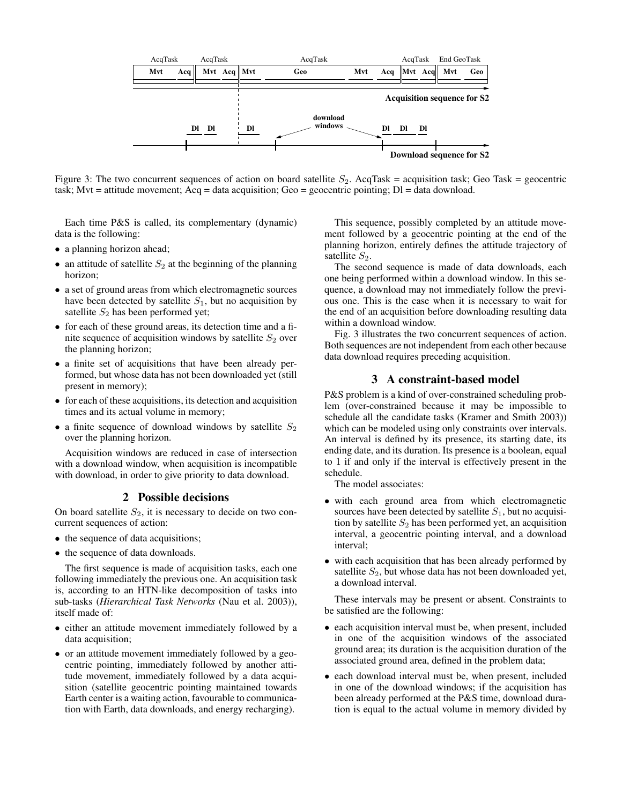

Figure 3: The two concurrent sequences of action on board satellite  $S_2$ . AcqTask = acquisition task; Geo Task = geocentric task; Mvt = attitude movement; Acq = data acquisition; Geo = geocentric pointing; Dl = data download.

Each time P&S is called, its complementary (dynamic) data is the following:

- a planning horizon ahead;
- an attitude of satellite  $S_2$  at the beginning of the planning horizon;
- a set of ground areas from which electromagnetic sources have been detected by satellite  $S_1$ , but no acquisition by satellite  $S_2$  has been performed yet;
- for each of these ground areas, its detection time and a finite sequence of acquisition windows by satellite  $S_2$  over the planning horizon;
- a finite set of acquisitions that have been already performed, but whose data has not been downloaded yet (still present in memory);
- for each of these acquisitions, its detection and acquisition times and its actual volume in memory;
- a finite sequence of download windows by satellite  $S_2$ over the planning horizon.

Acquisition windows are reduced in case of intersection with a download window, when acquisition is incompatible with download, in order to give priority to data download.

#### 2 Possible decisions

On board satellite  $S_2$ , it is necessary to decide on two concurrent sequences of action:

- the sequence of data acquisitions;
- the sequence of data downloads.

The first sequence is made of acquisition tasks, each one following immediately the previous one. An acquisition task is, according to an HTN-like decomposition of tasks into sub-tasks (*Hierarchical Task Networks* (Nau et al. 2003)), itself made of:

- either an attitude movement immediately followed by a data acquisition;
- or an attitude movement immediately followed by a geocentric pointing, immediately followed by another attitude movement, immediately followed by a data acquisition (satellite geocentric pointing maintained towards Earth center is a waiting action, favourable to communication with Earth, data downloads, and energy recharging).

This sequence, possibly completed by an attitude movement followed by a geocentric pointing at the end of the planning horizon, entirely defines the attitude trajectory of satellite  $S_2$ .

The second sequence is made of data downloads, each one being performed within a download window. In this sequence, a download may not immediately follow the previous one. This is the case when it is necessary to wait for the end of an acquisition before downloading resulting data within a download window.

Fig. 3 illustrates the two concurrent sequences of action. Both sequences are not independent from each other because data download requires preceding acquisition.

## 3 A constraint-based model

P&S problem is a kind of over-constrained scheduling problem (over-constrained because it may be impossible to schedule all the candidate tasks (Kramer and Smith 2003)) which can be modeled using only constraints over intervals. An interval is defined by its presence, its starting date, its ending date, and its duration. Its presence is a boolean, equal to 1 if and only if the interval is effectively present in the schedule.

The model associates:

- with each ground area from which electromagnetic sources have been detected by satellite  $S_1$ , but no acquisition by satellite  $S_2$  has been performed yet, an acquisition interval, a geocentric pointing interval, and a download interval;
- with each acquisition that has been already performed by satellite  $S_2$ , but whose data has not been downloaded yet, a download interval.

These intervals may be present or absent. Constraints to be satisfied are the following:

- each acquisition interval must be, when present, included in one of the acquisition windows of the associated ground area; its duration is the acquisition duration of the associated ground area, defined in the problem data;
- each download interval must be, when present, included in one of the download windows; if the acquisition has been already performed at the P&S time, download duration is equal to the actual volume in memory divided by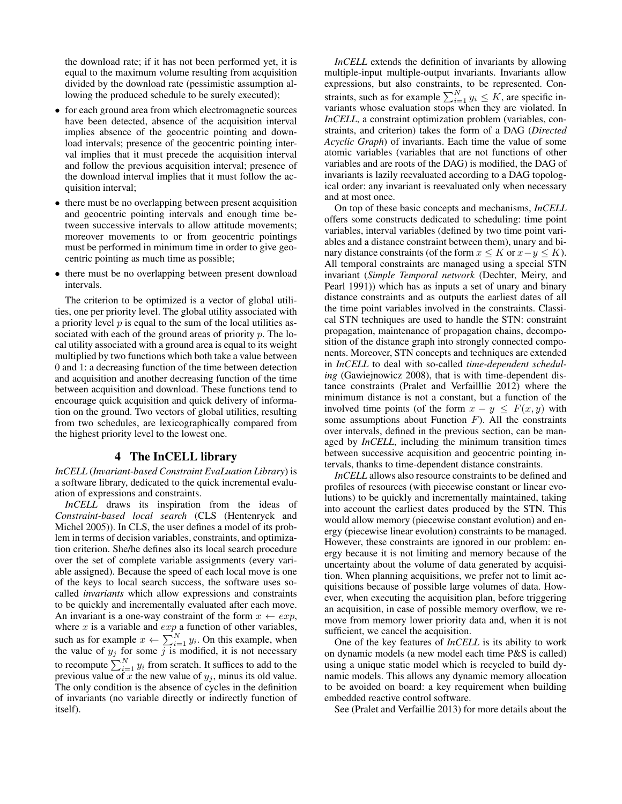the download rate; if it has not been performed yet, it is equal to the maximum volume resulting from acquisition divided by the download rate (pessimistic assumption allowing the produced schedule to be surely executed);

- for each ground area from which electromagnetic sources have been detected, absence of the acquisition interval implies absence of the geocentric pointing and download intervals; presence of the geocentric pointing interval implies that it must precede the acquisition interval and follow the previous acquisition interval; presence of the download interval implies that it must follow the acquisition interval;
- there must be no overlapping between present acquisition and geocentric pointing intervals and enough time between successive intervals to allow attitude movements; moreover movements to or from geocentric pointings must be performed in minimum time in order to give geocentric pointing as much time as possible;
- there must be no overlapping between present download intervals.

The criterion to be optimized is a vector of global utilities, one per priority level. The global utility associated with a priority level  $p$  is equal to the sum of the local utilities associated with each of the ground areas of priority  $p$ . The local utility associated with a ground area is equal to its weight multiplied by two functions which both take a value between 0 and 1: a decreasing function of the time between detection and acquisition and another decreasing function of the time between acquisition and download. These functions tend to encourage quick acquisition and quick delivery of information on the ground. Two vectors of global utilities, resulting from two schedules, are lexicographically compared from the highest priority level to the lowest one.

#### 4 The InCELL library

*InCELL* (*Invariant-based Constraint EvaLuation Library*) is a software library, dedicated to the quick incremental evaluation of expressions and constraints.

*InCELL* draws its inspiration from the ideas of *Constraint-based local search* (CLS (Hentenryck and Michel 2005)). In CLS, the user defines a model of its problem in terms of decision variables, constraints, and optimization criterion. She/he defines also its local search procedure over the set of complete variable assignments (every variable assigned). Because the speed of each local move is one of the keys to local search success, the software uses socalled *invariants* which allow expressions and constraints to be quickly and incrementally evaluated after each move. An invariant is a one-way constraint of the form  $x \leftarrow exp$ , where  $x$  is a variable and  $exp$  a function of other variables, such as for example  $x \leftarrow \sum_{i=1}^{N} y_i$ . On this example, when the value of  $y_j$  for some j is modified, it is not necessary to recompute  $\sum_{i=1}^{N} y_i$  from scratch. It suffices to add to the previous value of x the new value of  $y_i$ , minus its old value. The only condition is the absence of cycles in the definition of invariants (no variable directly or indirectly function of itself).

*InCELL* extends the definition of invariants by allowing multiple-input multiple-output invariants. Invariants allow expressions, but also constraints, to be represented. Constraints, such as for example  $\sum_{i=1}^{N} y_i \leq K$ , are specific invariants whose evaluation stops when they are violated. In *InCELL*, a constraint optimization problem (variables, constraints, and criterion) takes the form of a DAG (*Directed Acyclic Graph*) of invariants. Each time the value of some atomic variables (variables that are not functions of other variables and are roots of the DAG) is modified, the DAG of invariants is lazily reevaluated according to a DAG topological order: any invariant is reevaluated only when necessary and at most once.

On top of these basic concepts and mechanisms, *InCELL* offers some constructs dedicated to scheduling: time point variables, interval variables (defined by two time point variables and a distance constraint between them), unary and binary distance constraints (of the form  $x \leq K$  or  $x-y \leq K$ ). All temporal constraints are managed using a special STN invariant (*Simple Temporal network* (Dechter, Meiry, and Pearl 1991)) which has as inputs a set of unary and binary distance constraints and as outputs the earliest dates of all the time point variables involved in the constraints. Classical STN techniques are used to handle the STN: constraint propagation, maintenance of propagation chains, decomposition of the distance graph into strongly connected components. Moreover, STN concepts and techniques are extended in *InCELL* to deal with so-called *time-dependent scheduling* (Gawiejnowicz 2008), that is with time-dependent distance constraints (Pralet and Verfailllie 2012) where the minimum distance is not a constant, but a function of the involved time points (of the form  $x - y \leq F(x, y)$  with some assumptions about Function  $F$ ). All the constraints over intervals, defined in the previous section, can be managed by *InCELL*, including the minimum transition times between successive acquisition and geocentric pointing intervals, thanks to time-dependent distance constraints.

*InCELL* allows also resource constraints to be defined and profiles of resources (with piecewise constant or linear evolutions) to be quickly and incrementally maintained, taking into account the earliest dates produced by the STN. This would allow memory (piecewise constant evolution) and energy (piecewise linear evolution) constraints to be managed. However, these constraints are ignored in our problem: energy because it is not limiting and memory because of the uncertainty about the volume of data generated by acquisition. When planning acquisitions, we prefer not to limit acquisitions because of possible large volumes of data. However, when executing the acquisition plan, before triggering an acquisition, in case of possible memory overflow, we remove from memory lower priority data and, when it is not sufficient, we cancel the acquisition.

One of the key features of *InCELL* is its ability to work on dynamic models (a new model each time P&S is called) using a unique static model which is recycled to build dynamic models. This allows any dynamic memory allocation to be avoided on board: a key requirement when building embedded reactive control software.

See (Pralet and Verfaillie 2013) for more details about the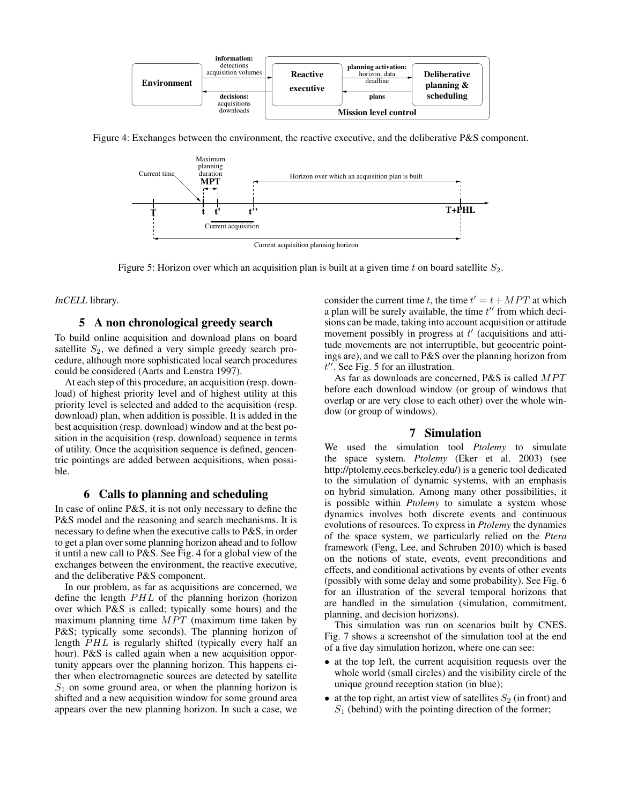

Figure 4: Exchanges between the environment, the reactive executive, and the deliberative P&S component.



Figure 5: Horizon over which an acquisition plan is built at a given time t on board satellite  $S_2$ .

*InCELL* library.

## 5 A non chronological greedy search

To build online acquisition and download plans on board satellite  $S_2$ , we defined a very simple greedy search procedure, although more sophisticated local search procedures could be considered (Aarts and Lenstra 1997).

At each step of this procedure, an acquisition (resp. download) of highest priority level and of highest utility at this priority level is selected and added to the acquisition (resp. download) plan, when addition is possible. It is added in the best acquisition (resp. download) window and at the best position in the acquisition (resp. download) sequence in terms of utility. Once the acquisition sequence is defined, geocentric pointings are added between acquisitions, when possible.

## 6 Calls to planning and scheduling

In case of online P&S, it is not only necessary to define the P&S model and the reasoning and search mechanisms. It is necessary to define when the executive calls to P&S, in order to get a plan over some planning horizon ahead and to follow it until a new call to P&S. See Fig. 4 for a global view of the exchanges between the environment, the reactive executive, and the deliberative P&S component.

In our problem, as far as acquisitions are concerned, we define the length  $PHL$  of the planning horizon (horizon over which P&S is called; typically some hours) and the maximum planning time  $MPT$  (maximum time taken by P&S; typically some seconds). The planning horizon of length PHL is regularly shifted (typically every half an hour). P&S is called again when a new acquisition opportunity appears over the planning horizon. This happens either when electromagnetic sources are detected by satellite  $S_1$  on some ground area, or when the planning horizon is shifted and a new acquisition window for some ground area appears over the new planning horizon. In such a case, we

consider the current time t, the time  $t' = t + MPT$  at which a plan will be surely available, the time  $t''$  from which decisions can be made, taking into account acquisition or attitude movement possibly in progress at  $t'$  (acquisitions and attitude movements are not interruptible, but geocentric pointings are), and we call to P&S over the planning horizon from  $t''$ . See Fig. 5 for an illustration.

As far as downloads are concerned, P&S is called  $MPT$ before each download window (or group of windows that overlap or are very close to each other) over the whole window (or group of windows).

### 7 Simulation

We used the simulation tool *Ptolemy* to simulate the space system. *Ptolemy* (Eker et al. 2003) (see http://ptolemy.eecs.berkeley.edu/) is a generic tool dedicated to the simulation of dynamic systems, with an emphasis on hybrid simulation. Among many other possibilities, it is possible within *Ptolemy* to simulate a system whose dynamics involves both discrete events and continuous evolutions of resources. To express in *Ptolemy* the dynamics of the space system, we particularly relied on the *Ptera* framework (Feng, Lee, and Schruben 2010) which is based on the notions of state, events, event preconditions and effects, and conditional activations by events of other events (possibly with some delay and some probability). See Fig. 6 for an illustration of the several temporal horizons that are handled in the simulation (simulation, commitment, planning, and decision horizons).

This simulation was run on scenarios built by CNES. Fig. 7 shows a screenshot of the simulation tool at the end of a five day simulation horizon, where one can see:

- at the top left, the current acquisition requests over the whole world (small circles) and the visibility circle of the unique ground reception station (in blue);
- at the top right, an artist view of satellites  $S_2$  (in front) and  $S_1$  (behind) with the pointing direction of the former;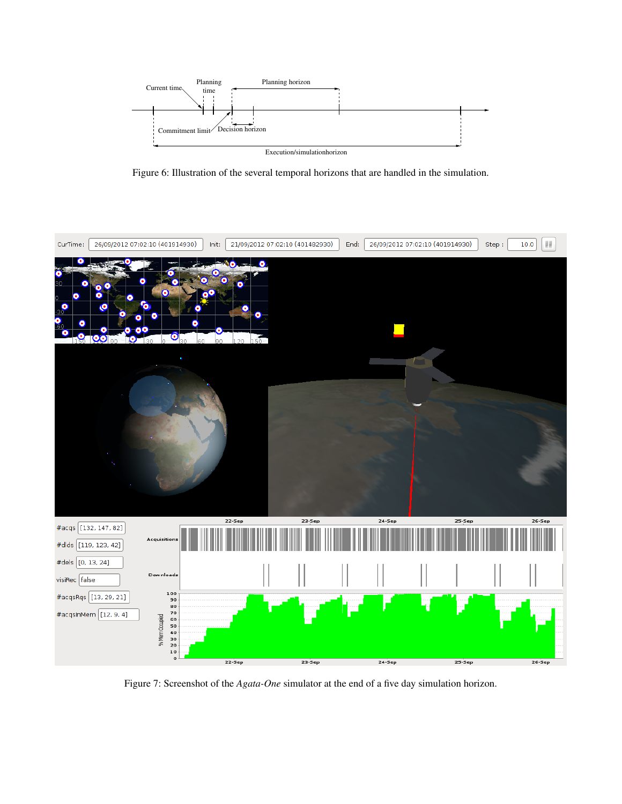

Figure 6: Illustration of the several temporal horizons that are handled in the simulation.



Figure 7: Screenshot of the *Agata-One* simulator at the end of a five day simulation horizon.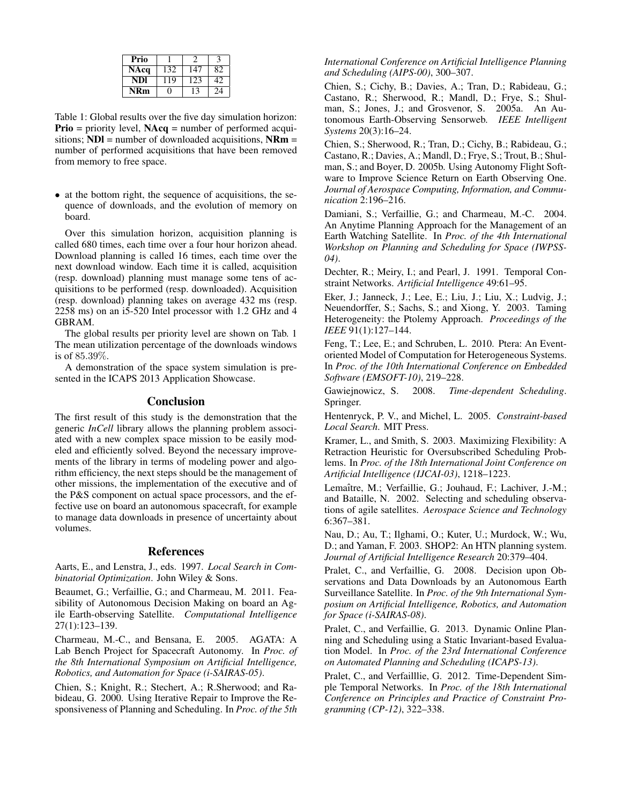| Prio |     |     |    |
|------|-----|-----|----|
| NAcq | 132 | 147 | 82 |
| NDI  | 119 | 123 | 42 |
| NRm  | n   | ۰,  | 24 |

Table 1: Global results over the five day simulation horizon: **Prio** = priority level,  $NAcq$  = number of performed acquisitions;  $NDI$  = number of downloaded acquisitions,  $NRm$  = number of performed acquisitions that have been removed from memory to free space.

• at the bottom right, the sequence of acquisitions, the sequence of downloads, and the evolution of memory on board.

Over this simulation horizon, acquisition planning is called 680 times, each time over a four hour horizon ahead. Download planning is called 16 times, each time over the next download window. Each time it is called, acquisition (resp. download) planning must manage some tens of acquisitions to be performed (resp. downloaded). Acquisition (resp. download) planning takes on average 432 ms (resp. 2258 ms) on an i5-520 Intel processor with 1.2 GHz and 4 GBRAM.

The global results per priority level are shown on Tab. 1 The mean utilization percentage of the downloads windows is of 85.39%.

A demonstration of the space system simulation is presented in the ICAPS 2013 Application Showcase.

#### **Conclusion**

The first result of this study is the demonstration that the generic *InCell* library allows the planning problem associated with a new complex space mission to be easily modeled and efficiently solved. Beyond the necessary improvements of the library in terms of modeling power and algorithm efficiency, the next steps should be the management of other missions, the implementation of the executive and of the P&S component on actual space processors, and the effective use on board an autonomous spacecraft, for example to manage data downloads in presence of uncertainty about volumes.

## References

Aarts, E., and Lenstra, J., eds. 1997. *Local Search in Combinatorial Optimization*. John Wiley & Sons.

Beaumet, G.; Verfaillie, G.; and Charmeau, M. 2011. Feasibility of Autonomous Decision Making on board an Agile Earth-observing Satellite. *Computational Intelligence* 27(1):123–139.

Charmeau, M.-C., and Bensana, E. 2005. AGATA: A Lab Bench Project for Spacecraft Autonomy. In *Proc. of the 8th International Symposium on Artificial Intelligence, Robotics, and Automation for Space (i-SAIRAS-05)*.

Chien, S.; Knight, R.; Stechert, A.; R.Sherwood; and Rabideau, G. 2000. Using Iterative Repair to Improve the Responsiveness of Planning and Scheduling. In *Proc. of the 5th*

#### *International Conference on Artificial Intelligence Planning and Scheduling (AIPS-00)*, 300–307.

Chien, S.; Cichy, B.; Davies, A.; Tran, D.; Rabideau, G.; Castano, R.; Sherwood, R.; Mandl, D.; Frye, S.; Shulman, S.; Jones, J.; and Grosvenor, S. 2005a. An Autonomous Earth-Observing Sensorweb. *IEEE Intelligent Systems* 20(3):16–24.

Chien, S.; Sherwood, R.; Tran, D.; Cichy, B.; Rabideau, G.; Castano, R.; Davies, A.; Mandl, D.; Frye, S.; Trout, B.; Shulman, S.; and Boyer, D. 2005b. Using Autonomy Flight Software to Improve Science Return on Earth Observing One. *Journal of Aerospace Computing, Information, and Communication* 2:196–216.

Damiani, S.; Verfaillie, G.; and Charmeau, M.-C. 2004. An Anytime Planning Approach for the Management of an Earth Watching Satellite. In *Proc. of the 4th International Workshop on Planning and Scheduling for Space (IWPSS-04)*.

Dechter, R.; Meiry, I.; and Pearl, J. 1991. Temporal Constraint Networks. *Artificial Intelligence* 49:61–95.

Eker, J.; Janneck, J.; Lee, E.; Liu, J.; Liu, X.; Ludvig, J.; Neuendorffer, S.; Sachs, S.; and Xiong, Y. 2003. Taming Heterogeneity: the Ptolemy Approach. *Proceedings of the IEEE* 91(1):127–144.

Feng, T.; Lee, E.; and Schruben, L. 2010. Ptera: An Eventoriented Model of Computation for Heterogeneous Systems. In *Proc. of the 10th International Conference on Embedded Software (EMSOFT-10)*, 219–228.

Gawiejnowicz, S. 2008. *Time-dependent Scheduling*. Springer.

Hentenryck, P. V., and Michel, L. 2005. *Constraint-based Local Search*. MIT Press.

Kramer, L., and Smith, S. 2003. Maximizing Flexibility: A Retraction Heuristic for Oversubscribed Scheduling Problems. In *Proc. of the 18th International Joint Conference on Artificial Intelligence (IJCAI-03)*, 1218–1223.

Lemaître, M.; Verfaillie, G.; Jouhaud, F.; Lachiver, J.-M.; and Bataille, N. 2002. Selecting and scheduling observations of agile satellites. *Aerospace Science and Technology* 6:367–381.

Nau, D.; Au, T.; Ilghami, O.; Kuter, U.; Murdock, W.; Wu, D.; and Yaman, F. 2003. SHOP2: An HTN planning system. *Journal of Artificial Intelligence Research* 20:379–404.

Pralet, C., and Verfaillie, G. 2008. Decision upon Observations and Data Downloads by an Autonomous Earth Surveillance Satellite. In *Proc. of the 9th International Symposium on Artificial Intelligence, Robotics, and Automation for Space (i-SAIRAS-08)*.

Pralet, C., and Verfaillie, G. 2013. Dynamic Online Planning and Scheduling using a Static Invariant-based Evaluation Model. In *Proc. of the 23rd International Conference on Automated Planning and Scheduling (ICAPS-13)*.

Pralet, C., and Verfailllie, G. 2012. Time-Dependent Simple Temporal Networks. In *Proc. of the 18th International Conference on Principles and Practice of Constraint Programming (CP-12)*, 322–338.